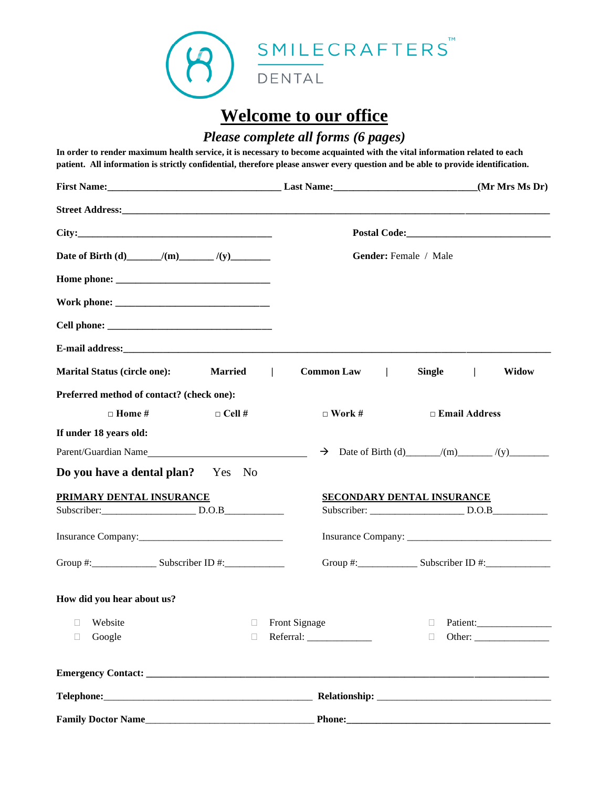

# **Welcome to our office**

### *Please complete all forms (6 pages)*

**In order to render maximum health service, it is necessary to become acquainted with the vital information related to each patient. All information is strictly confidential, therefore please answer every question and be able to provide identification.**

|                                                                                  |                                     | (Mr Mrs Ms Dr)                    |
|----------------------------------------------------------------------------------|-------------------------------------|-----------------------------------|
|                                                                                  |                                     |                                   |
|                                                                                  |                                     |                                   |
|                                                                                  |                                     | Gender: Female / Male             |
|                                                                                  |                                     |                                   |
|                                                                                  |                                     |                                   |
|                                                                                  |                                     |                                   |
|                                                                                  |                                     |                                   |
| Marital Status (circle one): Married                                             | Common Law  <br>$\perp$             | Single  <br><b>Widow</b>          |
| Preferred method of contact? (check one):                                        |                                     |                                   |
| $\Box$ Home #<br>$\Box$ Cell #                                                   | $\Box$ Work #                       | $\Box$ Email Address              |
| If under 18 years old:                                                           |                                     |                                   |
|                                                                                  | $\rightarrow$                       |                                   |
| Do you have a dental plan? Yes No                                                |                                     |                                   |
| PRIMARY DENTAL INSURANCE                                                         |                                     | <b>SECONDARY DENTAL INSURANCE</b> |
|                                                                                  |                                     |                                   |
|                                                                                  |                                     |                                   |
| Group #: _____________________ Subscriber ID #: ________________________________ |                                     | Group #: Subscriber ID #:         |
| How did you hear about us?                                                       |                                     |                                   |
| Website<br>Ц                                                                     | Front Signage<br>O                  | Patient:<br>Ш                     |
| Google<br>П                                                                      | $\Box$<br>Referral: _______________ | $\Box$                            |
|                                                                                  |                                     |                                   |
|                                                                                  |                                     |                                   |
|                                                                                  |                                     |                                   |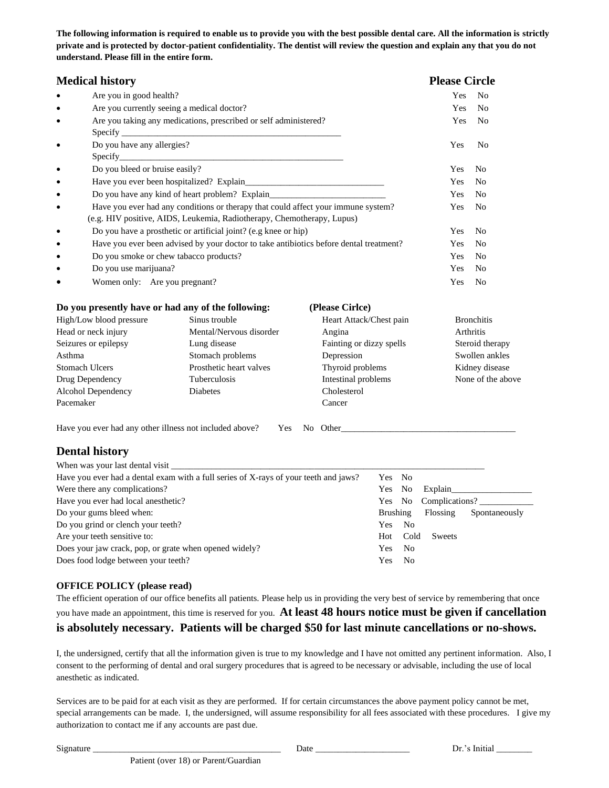**The following information is required to enable us to provide you with the best possible dental care. All the information is strictly private and is protected by doctor-patient confidentiality. The dentist will review the question and explain any that you do not understand. Please fill in the entire form.** 

| <b>Medical history</b>                                                                              |                                                                                      |                          | <b>Please Circle</b> |                   |
|-----------------------------------------------------------------------------------------------------|--------------------------------------------------------------------------------------|--------------------------|----------------------|-------------------|
| Are you in good health?                                                                             |                                                                                      |                          | Yes                  | N <sub>0</sub>    |
| Are you currently seeing a medical doctor?<br>$\bullet$                                             |                                                                                      |                          | Yes                  | No                |
| Are you taking any medications, prescribed or self administered?<br>٠                               |                                                                                      |                          | Yes                  | N <sub>0</sub>    |
|                                                                                                     |                                                                                      |                          |                      |                   |
| Do you have any allergies?<br>٠                                                                     |                                                                                      |                          | Yes                  | No                |
| Specify_                                                                                            |                                                                                      |                          |                      |                   |
| Do you bleed or bruise easily?                                                                      |                                                                                      |                          | Yes                  | No                |
|                                                                                                     |                                                                                      |                          | Yes                  | No                |
| Do you have any kind of heart problem? Explain___________________________________<br>٠              |                                                                                      |                          | Yes                  | No                |
| Have you ever had any conditions or therapy that could affect your immune system?<br>$\bullet$      |                                                                                      |                          | Yes                  | N <sub>0</sub>    |
|                                                                                                     | (e.g. HIV positive, AIDS, Leukemia, Radiotherapy, Chemotherapy, Lupus)               |                          |                      |                   |
| Do you have a prosthetic or artificial joint? (e.g knee or hip)<br>$\bullet$                        |                                                                                      |                          | Yes                  | No                |
| Have you ever been advised by your doctor to take antibiotics before dental treatment?<br>$\bullet$ |                                                                                      |                          | Yes                  | No                |
| Do you smoke or chew tabacco products?                                                              |                                                                                      |                          | Yes                  | No                |
| Do you use marijuana?<br>$\bullet$                                                                  |                                                                                      |                          | Yes                  | No                |
| Women only: Are you pregnant?                                                                       |                                                                                      | Yes                      | N <sub>0</sub>       |                   |
|                                                                                                     | Do you presently have or had any of the following:                                   | (Please Cirlce)          |                      |                   |
| High/Low blood pressure                                                                             | Sinus trouble                                                                        | Heart Attack/Chest pain  |                      | <b>Bronchitis</b> |
| Head or neck injury                                                                                 | Mental/Nervous disorder                                                              | Angina                   | Arthritis            |                   |
| Seizures or epilepsy                                                                                | Lung disease                                                                         | Fainting or dizzy spells |                      | Steroid therapy   |
| Asthma                                                                                              | Stomach problems                                                                     | Depression               |                      | Swollen ankles    |
| <b>Stomach Ulcers</b>                                                                               | Prosthetic heart valves                                                              | Thyroid problems         |                      | Kidney disease    |
| Drug Dependency                                                                                     | Tuberculosis                                                                         | Intestinal problems      |                      | None of the above |
| Alcohol Dependency                                                                                  | Diabetes                                                                             | Cholesterol              |                      |                   |
| Pacemaker                                                                                           |                                                                                      | Cancer                   |                      |                   |
|                                                                                                     | Have you ever had any other illness not included above?<br>Yes                       | No Other No. 2012        |                      |                   |
| <b>Dental history</b>                                                                               |                                                                                      |                          |                      |                   |
|                                                                                                     |                                                                                      |                          |                      |                   |
|                                                                                                     | Have you ever had a dental exam with a full series of X-rays of your teeth and jaws? | Yes<br>No                |                      |                   |
| Were there any complications?<br>Yes<br>No                                                          |                                                                                      |                          | Explain              |                   |
| Have you ever had local anesthetic?<br>Yes<br>No                                                    |                                                                                      |                          | Complications?       |                   |
| Do your gums bleed when:<br><b>Brushing</b>                                                         |                                                                                      |                          | Flossing             | Spontaneously     |
| Do you grind or clench your teeth?<br>Yes<br>N <sub>0</sub>                                         |                                                                                      |                          |                      |                   |
| Cold<br>Are your teeth sensitive to:<br>Hot                                                         |                                                                                      |                          | Sweets               |                   |
| Does your jaw crack, pop, or grate when opened widely?<br>Yes<br>N <sub>o</sub>                     |                                                                                      |                          |                      |                   |
| Does food lodge between your teeth?<br>Yes<br>No                                                    |                                                                                      |                          |                      |                   |

#### **OFFICE POLICY (please read)**

Patient (over 18) or Parent/Guardian

The efficient operation of our office benefits all patients. Please help us in providing the very best of service by remembering that once you have made an appointment, this time is reserved for you. **At least 48 hours notice must be given if cancellation is absolutely necessary. Patients will be charged \$50 for last minute cancellations or no-shows.**

I, the undersigned, certify that all the information given is true to my knowledge and I have not omitted any pertinent information. Also, I consent to the performing of dental and oral surgery procedures that is agreed to be necessary or advisable, including the use of local anesthetic as indicated.

Services are to be paid for at each visit as they are performed. If for certain circumstances the above payment policy cannot be met, special arrangements can be made. I, the undersigned, will assume responsibility for all fees associated with these procedures. I give my authorization to contact me if any accounts are past due.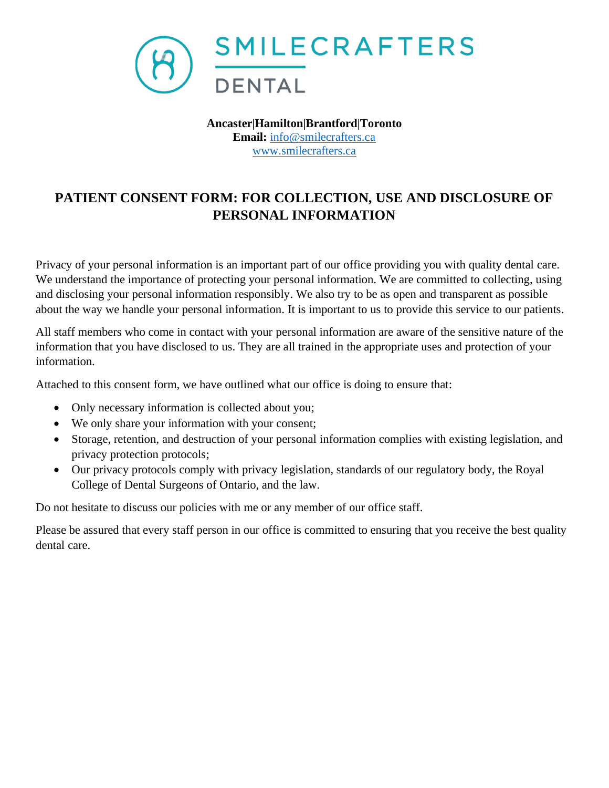

**Ancaster|Hamilton|Brantford|Toronto Email:** [info@smilecrafters.ca](mailto:info@smilecrafters.ca) [www.smilecrafters.ca](http://www.smilecrafters.ca/)

## **PATIENT CONSENT FORM: FOR COLLECTION, USE AND DISCLOSURE OF PERSONAL INFORMATION**

Privacy of your personal information is an important part of our office providing you with quality dental care. We understand the importance of protecting your personal information. We are committed to collecting, using and disclosing your personal information responsibly. We also try to be as open and transparent as possible about the way we handle your personal information. It is important to us to provide this service to our patients.

All staff members who come in contact with your personal information are aware of the sensitive nature of the information that you have disclosed to us. They are all trained in the appropriate uses and protection of your information.

Attached to this consent form, we have outlined what our office is doing to ensure that:

- Only necessary information is collected about you;
- We only share your information with your consent;
- Storage, retention, and destruction of your personal information complies with existing legislation, and privacy protection protocols;
- Our privacy protocols comply with privacy legislation, standards of our regulatory body, the Royal College of Dental Surgeons of Ontario, and the law.

Do not hesitate to discuss our policies with me or any member of our office staff.

Please be assured that every staff person in our office is committed to ensuring that you receive the best quality dental care.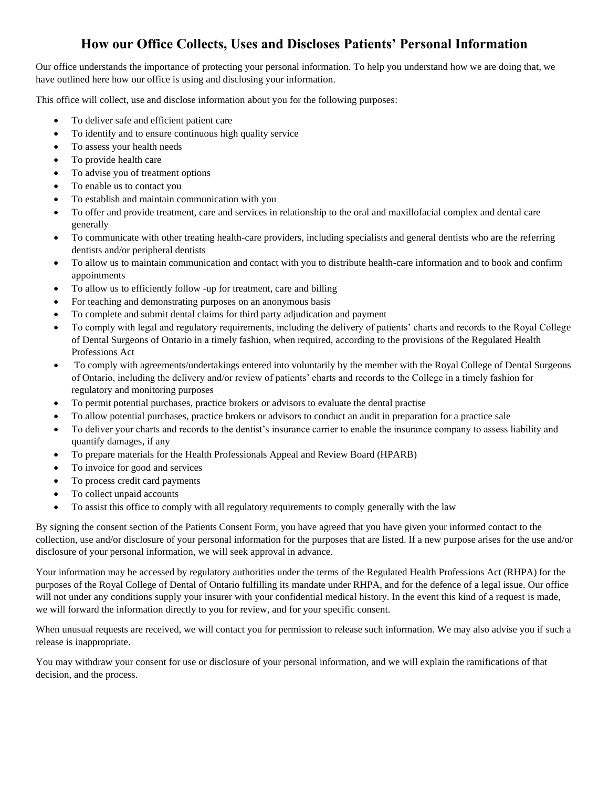#### **How our Office Collects, Uses and Discloses Patients' Personal Information**

Our office understands the importance of protecting your personal information. To help you understand how we are doing that, we have outlined here how our office is using and disclosing your information.

This office will collect, use and disclose information about you for the following purposes:

- To deliver safe and efficient patient care
- To identify and to ensure continuous high quality service
- To assess your health needs
- To provide health care
- To advise you of treatment options
- To enable us to contact you
- To establish and maintain communication with you
- To offer and provide treatment, care and services in relationship to the oral and maxillofacial complex and dental care generally
- To communicate with other treating health-care providers, including specialists and general dentists who are the referring dentists and/or peripheral dentists
- To allow us to maintain communication and contact with you to distribute health-care information and to book and confirm appointments
- To allow us to efficiently follow -up for treatment, care and billing
- For teaching and demonstrating purposes on an anonymous basis
- To complete and submit dental claims for third party adjudication and payment
- To comply with legal and regulatory requirements, including the delivery of patients' charts and records to the Royal College of Dental Surgeons of Ontario in a timely fashion, when required, according to the provisions of the Regulated Health Professions Act
- To comply with agreements/undertakings entered into voluntarily by the member with the Royal College of Dental Surgeons of Ontario, including the delivery and/or review of patients' charts and records to the College in a timely fashion for regulatory and monitoring purposes
- To permit potential purchases, practice brokers or advisors to evaluate the dental practise
- To allow potential purchases, practice brokers or advisors to conduct an audit in preparation for a practice sale
- To deliver your charts and records to the dentist's insurance carrier to enable the insurance company to assess liability and quantify damages, if any
- To prepare materials for the Health Professionals Appeal and Review Board (HPARB)
- To invoice for good and services
- To process credit card payments
- To collect unpaid accounts
- To assist this office to comply with all regulatory requirements to comply generally with the law

By signing the consent section of the Patients Consent Form, you have agreed that you have given your informed contact to the collection, use and/or disclosure of your personal information for the purposes that are listed. If a new purpose arises for the use and/or disclosure of your personal information, we will seek approval in advance.

Your information may be accessed by regulatory authorities under the terms of the Regulated Health Professions Act (RHPA) for the purposes of the Royal College of Dental of Ontario fulfilling its mandate under RHPA, and for the defence of a legal issue. Our office will not under any conditions supply your insurer with your confidential medical history. In the event this kind of a request is made, we will forward the information directly to you for review, and for your specific consent.

When unusual requests are received, we will contact you for permission to release such information. We may also advise you if such a release is inappropriate.

You may withdraw your consent for use or disclosure of your personal information, and we will explain the ramifications of that decision, and the process.